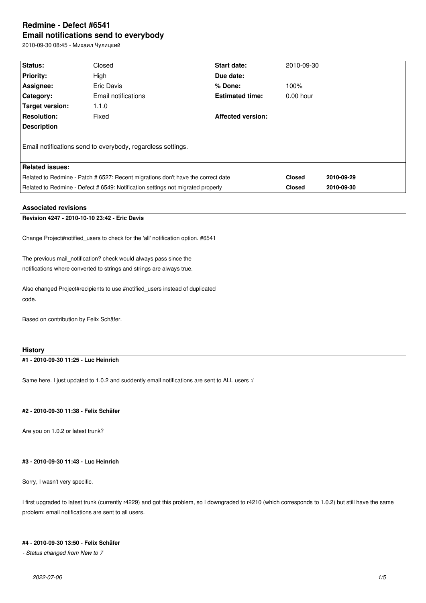# **Redmine - Defect #6541 Email notifications send to everybody**

2010-09-30 08:45 - Михаил Чулицкий

| Status:                                                                          | Closed              | <b>Start date:</b>       | 2010-09-30    |            |
|----------------------------------------------------------------------------------|---------------------|--------------------------|---------------|------------|
| <b>Priority:</b>                                                                 | High                | Due date:                |               |            |
| Assignee:                                                                        | Eric Davis          | $%$ Done:                | 100%          |            |
| Category:                                                                        | Email notifications | <b>Estimated time:</b>   | $0.00$ hour   |            |
| Target version:                                                                  | 1.1.0               |                          |               |            |
| <b>Resolution:</b>                                                               | Fixed               | <b>Affected version:</b> |               |            |
| <b>Description</b>                                                               |                     |                          |               |            |
| Email notifications send to everybody, regardless settings.                      |                     |                          |               |            |
| <b>Related issues:</b>                                                           |                     |                          |               |            |
| Related to Redmine - Patch # 6527: Recent migrations don't have the correct date |                     |                          | <b>Closed</b> | 2010-09-29 |
| Related to Redmine - Defect # 6549: Notification settings not migrated properly  |                     |                          | <b>Closed</b> | 2010-09-30 |
|                                                                                  |                     |                          |               |            |

## **Associated revisions**

## **Revision 4247 - 2010-10-10 23:42 - Eric Davis**

Change Project#notified\_users to check for the 'all' notification option. #6541

The previous mail notification? check would always pass since the notifications where converted to strings and strings are always true.

Also changed Project#recipients to use #notified\_users instead of duplicated code.

Based on contribution by Felix Schäfer.

## **History**

**#1 - 2010-09-30 11:25 - Luc Heinrich**

Same here. I just updated to 1.0.2 and suddently email notifications are sent to ALL users :/

## **#2 - 2010-09-30 11:38 - Felix Schäfer**

Are you on 1.0.2 or latest trunk?

## **#3 - 2010-09-30 11:43 - Luc Heinrich**

Sorry, I wasn't very specific.

I first upgraded to latest trunk (currently r4229) and got this problem, so I downgraded to r4210 (which corresponds to 1.0.2) but still have the same problem: email notifications are sent to all users.

## **#4 - 2010-09-30 13:50 - Felix Schäfer**

*- Status changed from New to 7*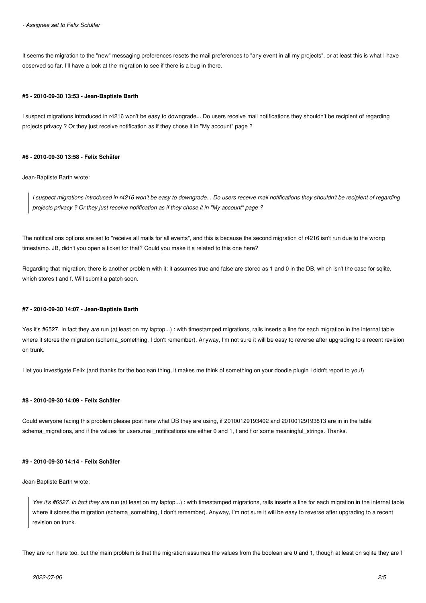*- Assignee set to Felix Schäfer*

It seems the migration to the "new" messaging preferences resets the mail preferences to "any event in all my projects", or at least this is what I have observed so far. I'll have a look at the migration to see if there is a bug in there.

#### **#5 - 2010-09-30 13:53 - Jean-Baptiste Barth**

I suspect migrations introduced in r4216 won't be easy to downgrade... Do users receive mail notifications they shouldn't be recipient of regarding projects privacy ? Or they just receive notification as if they chose it in "My account" page ?

### **#6 - 2010-09-30 13:58 - Felix Schäfer**

Jean-Baptiste Barth wrote:

*I suspect migrations introduced in r4216 won't be easy to downgrade... Do users receive mail notifications they shouldn't be recipient of regarding projects privacy ? Or they just receive notification as if they chose it in "My account" page ?*

The notifications options are set to "receive all mails for all events", and this is because the second migration of r4216 isn't run due to the wrong timestamp. JB, didn't you open a ticket for that? Could you make it a related to this one here?

Regarding that migration, there is another problem with it: it assumes true and false are stored as 1 and 0 in the DB, which isn't the case for sqlite, which stores t and f. Will submit a patch soon.

### **#7 - 2010-09-30 14:07 - Jean-Baptiste Barth**

Yes it's #6527. In fact they are run (at least on my laptop...) : with timestamped migrations, rails inserts a line for each migration in the internal table where it stores the migration (schema\_something, I don't remember). Anyway, I'm not sure it will be easy to reverse after upgrading to a recent revision on trunk.

I let you investigate Felix (and thanks for the boolean thing, it makes me think of something on your doodle plugin I didn't report to you!)

#### **#8 - 2010-09-30 14:09 - Felix Schäfer**

Could everyone facing this problem please post here what DB they are using, if 20100129193402 and 20100129193813 are in in the table schema\_migrations, and if the values for users.mail\_notifications are either 0 and 1, t and f or some meaningful\_strings. Thanks.

### **#9 - 2010-09-30 14:14 - Felix Schäfer**

Jean-Baptiste Barth wrote:

*Yes it's #6527. In fact they are* run (at least on my laptop...) : with timestamped migrations, rails inserts a line for each migration in the internal table where it stores the migration (schema\_something, I don't remember). Anyway, I'm not sure it will be easy to reverse after upgrading to a recent revision on trunk.

They are run here too, but the main problem is that the migration assumes the values from the boolean are 0 and 1, though at least on sqlite they are f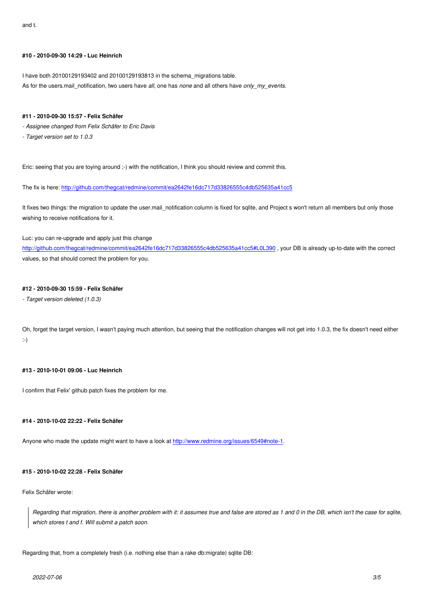#### **#10 - 2010-09-30 14:29 - Luc Heinrich**

I have both 20100129193402 and 20100129193813 in the schema\_migrations table.

As for the users.mail\_notification, two users have *all*, one has *none* and all others have *only\_my\_events*.

#### **#11 - 2010-09-30 15:57 - Felix Schäfer**

- *Assignee changed from Felix Schäfer to Eric Davis*
- *Target version set to 1.0.3*

Eric: seeing that you are toying around ;-) with the notification, I think you should review and commit this.

The fix is here: http://github.com/thegcat/redmine/commit/ea2642fe16dc717d33826555c4db525635a41cc5

It fixes two things: the migration to update the user.mail\_notification column is fixed for sqlite, and Project s won't return all members but only those wishing to rece[ive notifications for it.](http://github.com/thegcat/redmine/commit/ea2642fe16dc717d33826555c4db525635a41cc5)

Luc: you can re-upgrade and apply just this change

http://github.com/thegcat/redmine/commit/ea2642fe16dc717d33826555c4db525635a41cc5#L0L390 , your DB is already up-to-date with the correct values, so that should correct the problem for you.

#### **[#12 - 2010-09-30 15:59 - Felix Schäfer](http://github.com/thegcat/redmine/commit/ea2642fe16dc717d33826555c4db525635a41cc5#L0L390)**

*- Target version deleted (1.0.3)*

Oh, forget the target version, I wasn't paying much attention, but seeing that the notification changes will not get into 1.0.3, the fix doesn't need either :-)

## **#13 - 2010-10-01 09:06 - Luc Heinrich**

I confirm that Felix' github patch fixes the problem for me.

#### **#14 - 2010-10-02 22:22 - Felix Schäfer**

Anyone who made the update might want to have a look at http://www.redmine.org/issues/6549#note-1.

## **#15 - 2010-10-02 22:28 - Felix Schäfer**

Felix Schäfer wrote:

*Regarding that migration, there is another problem with it: it assumes true and false are stored as 1 and 0 in the DB, which isn't the case for sqlite, which stores t and f. Will submit a patch soon.*

Regarding that, from a completely fresh (i.e. nothing else than a rake db:migrate) sqlite DB: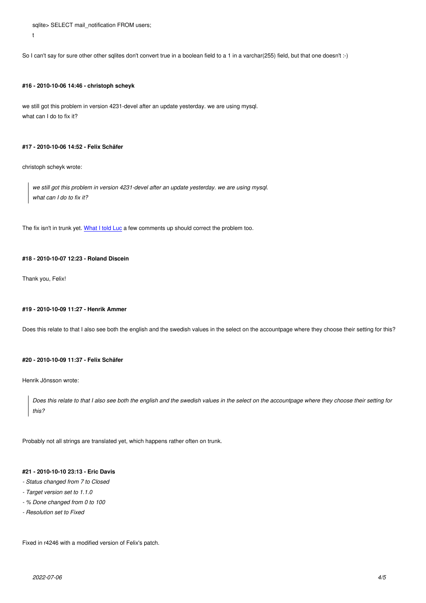So I can't say for sure other other sqlites don't convert true in a boolean field to a 1 in a varchar(255) field, but that one doesn't :-)

#### **#16 - 2010-10-06 14:46 - christoph scheyk**

we still got this problem in version 4231-devel after an update yesterday. we are using mysql. what can I do to fix it?

#### **#17 - 2010-10-06 14:52 - Felix Schäfer**

christoph scheyk wrote:

t

*we still got this problem in version 4231-devel after an update yesterday. we are using mysql. what can I do to fix it?*

The fix isn't in trunk yet. What I told Luc a few comments up should correct the problem too.

#### **#18 - 2010-10-07 12:23 [- Roland Disce](/issues/6541#note-11)in**

Thank you, Felix!

#### **#19 - 2010-10-09 11:27 - Henrik Ammer**

Does this relate to that I also see both the english and the swedish values in the select on the accountpage where they choose their setting for this?

#### **#20 - 2010-10-09 11:37 - Felix Schäfer**

Henrik Jönsson wrote:

*Does this relate to that I also see both the english and the swedish values in the select on the accountpage where they choose their setting for this?*

Probably not all strings are translated yet, which happens rather often on trunk.

## **#21 - 2010-10-10 23:13 - Eric Davis**

- *Status changed from 7 to Closed*
- *Target version set to 1.1.0*
- *% Done changed from 0 to 100*
- *Resolution set to Fixed*

Fixed in r4246 with a modified version of Felix's patch.